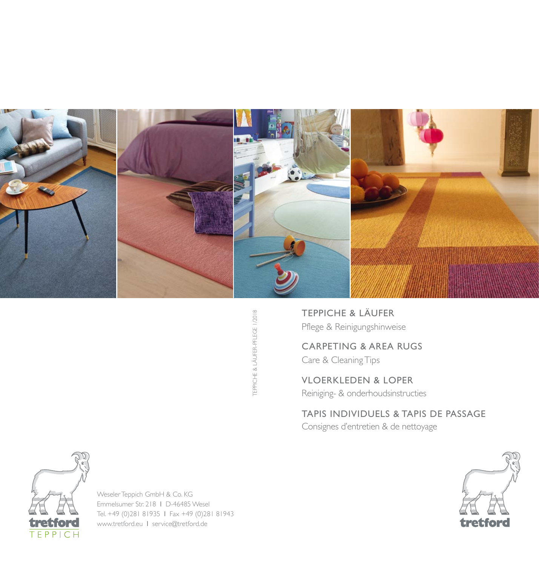

TEPPICHE & LÄUFER-PFLEGE 1/2018 TEPPICHE & LÄUFER-PFLEGE 1/2018

TEPPICHE & LÄUFER Pflege & Reinigungshinweise

CARPETING & AREA RUGS

Care & Cleaning Tips

VLOERKLEDEN & LOPER

Reiniging- & onderhoudsinstructies

TAPIS INDIVIDUELS & TAPIS DE PASSAGE

Consignes d'entretien & de nettoyage





Weseler Teppich GmbH & Co. KG Emmelsumer Str. 218 l D-46485 Wesel Tel. +49 (0)281 81935 l Fax +49 (0)281 81943 www.tretford.eu l service@tretford.de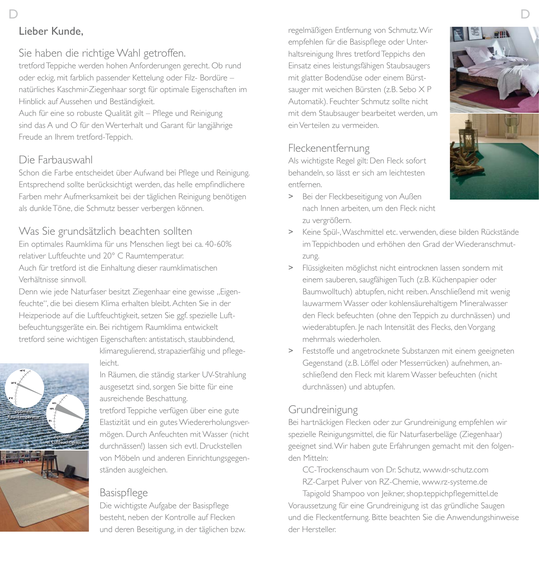# Sie haben die richtige Wahl getroffen.

tretford Teppiche werden hohen Anforderungen gerecht. Ob rund oder eckig, mit farblich passender Kettelung oder Filz- Bordüre – natürliches Kaschmir-Ziegenhaar sorgt für optimale Eigenschaften im Hinblick auf Aussehen und Beständigkeit.

Auch für eine so robuste Qualität gilt – Pflege und Reinigung sind das A und O für den Werterhalt und Garant für langjährige Freude an Ihrem tretford-Teppich.

# Die Farbauswahl

Schon die Farbe entscheidet über Aufwand bei Pflege und Reinigung. Entsprechend sollte berücksichtigt werden, das helle empfindlichere Farben mehr Aufmerksamkeit bei der täglichen Reinigung benötigen als dunkle Töne, die Schmutz besser verbergen können.

#### Was Sie grundsätzlich beachten sollten

Ein optimales Raumklima für uns Menschen liegt bei ca. 40-60% relativer Luftfeuchte und 20° C Raumtemperatur.

Auch für tretford ist die Einhaltung dieser raumklimatischen Verhältnisse sinnvoll.

Denn wie jede Naturfaser besitzt Ziegenhaar eine gewisse "Eigenfeuchte", die bei diesem Klima erhalten bleibt. Achten Sie in der Heizperiode auf die Luftfeuchtigkeit, setzen Sie ggf. spezielle Luftbefeuchtungsgeräte ein. Bei richtigem Raumklima entwickelt tretford seine wichtigen Eigenschaften: antistatisch, staubbindend,



klimaregulierend, strapazierfähig und pflegeleicht.

In Räumen, die ständig starker UV-Strahlung ausgesetzt sind, sorgen Sie bitte für eine ausreichende Beschattung.

tretford Teppiche verfügen über eine gute Elastizität und ein gutes Wiedererholungsvermögen. Durch Anfeuchten mit Wasser (nicht durchnässen!) lassen sich evtl. Druckstellen von Möbeln und anderen Einrichtungsgegenständen ausgleichen.

#### Basispflege

Die wichtigste Aufgabe der Basispflege besteht, neben der Kontrolle auf Flecken und deren Beseitigung, in der täglichen bzw.

regelmäßigen Entfernung von Schmutz. Wir empfehlen für die Basispflege oder Unterhaltsreinigung Ihres tretford Teppichs den Einsatz eines leistungsfähigen Staubsaugers mit glatter Bodendüse oder einem Bürstsauger mit weichen Bürsten (z.B. Sebo X P Automatik). Feuchter Schmutz sollte nicht mit dem Staubsauger bearbeitet werden, um ein Verteilen zu vermeiden.

# Fleckenentfernung

Als wichtigste Regel gilt: Den Fleck sofort behandeln, so lässt er sich am leichtesten entfernen.

> Bei der Fleckbeseitigung von Außen nach Innen arbeiten, um den Fleck nicht zu vergrößern.



- > Keine Spül-, Waschmittel etc. verwenden, diese bilden Rückstände im Teppichboden und erhöhen den Grad der Wiederanschmutzung.
- > Flüssigkeiten möglichst nicht eintrocknen lassen sondern mit einem sauberen, saugfähigen Tuch (z.B. Küchenpapier oder Baumwolltuch) abtupfen, nicht reiben. Anschließend mit wenig lauwarmem Wasser oder kohlensäurehaltigem Mineralwasser den Fleck befeuchten (ohne den Teppich zu durchnässen) und wiederabtupfen. Je nach Intensität des Flecks, den Vorgang mehrmals wiederholen.
- > Feststoffe und angetrocknete Substanzen mit einem geeigneten Gegenstand (z.B. Löffel oder Messerrücken) aufnehmen, anschließend den Fleck mit klarem Wasser befeuchten (nicht durchnässen) und abtupfen.

# Grundreinigung

Bei hartnäckigen Flecken oder zur Grundreinigung empfehlen wir spezielle Reinigungsmittel, die für Naturfaserbeläge (Ziegenhaar) geeignet sind. Wir haben gute Erfahrungen gemacht mit den folgenden Mitteln:

CC-Trockenschaum von Dr. Schutz, www.dr-schutz.com

RZ-Carpet Pulver von RZ-Chemie, www.rz-systeme.de

Tapigold Shampoo von Jeikner, shop.teppichpflegemittel.de Voraussetzung für eine Grundreinigung ist das gründliche Saugen und die Fleckentfernung. Bitte beachten Sie die Anwendungshinweise der Hersteller.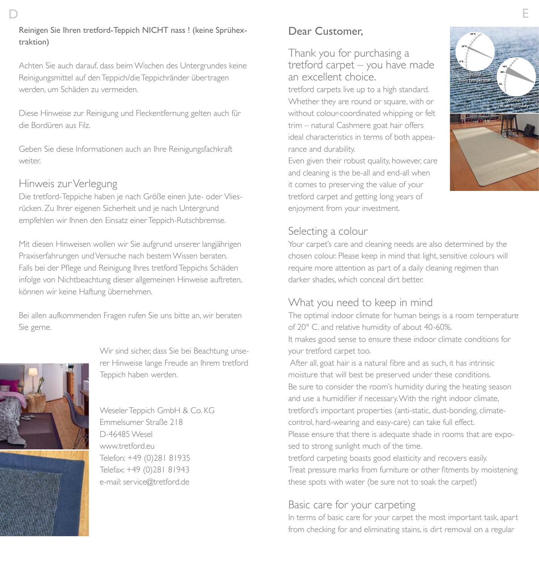# D E

#### Reinigen Sie Ihren tretford-Teppich NICHT nass ! (keine Sprühextraktion)

Achten Sie auch darauf, dass beim Wischen des Untergrundes keine Reinigungsmittel auf den Teppich/die Teppichränder übertragen werden, um Schäden zu vermeiden.

Diese Hinweise zur Reinigung und Fleckentfernung gelten auch für die Bordüren aus Filz.

Geben Sie diese Informationen auch an Ihre Reinigungsfachkraft weiter.

# Hinweis zur Verlegung

Die tretford-Teppiche haben je nach Größe einen Jute- oder Vliesrücken. Zu Ihrer eigenen Sicherheit und je nach Untergrund empfehlen wir Ihnen den Einsatz einer Teppich-Rutschbremse.

Mit diesen Hinweisen wollen wir Sie aufgrund unserer langjährigen Praxiserfahrungen und Versuche nach bestem Wissen beraten. Falls bei der Pflege und Reinigung Ihres tretford Teppichs Schäden infolge von Nichtbeachtung dieser allgemeinen Hinweise auftreten, können wir keine Haftung übernehmen.

Bei allen aufkommenden Fragen rufen Sie uns bitte an, wir beraten Sie gerne.



Wir sind sicher, dass Sie bei Beachtung unserer Hinweise lange Freude an Ihrem tretford Teppich haben werden.

#### Weseler Teppich GmbH & Co. KG Emmelsumer Straße 218 D-46485 Wesel www.tretford.eu Telefon: +49 (0)281 81935 Telefax: +49 (0)281 81943 e-mail: service@tretford.de

# Dear Customer,

Thank you for purchasing a tretford carpet – you have made an excellent choice.

tretford carpets live up to a high standard. Whether they are round or square, with or without colour-coordinated whipping or felt trim – natural Cashmere goat hair offers ideal characteristics in terms of both appearance and durability.

Even given their robust quality, however, care and cleaning is the be-all and end-all when it comes to preserving the value of your tretford carpet and getting long years of enjoyment from your investment.



#### Selecting a colour

Your carpet's care and cleaning needs are also determined by the chosen colour. Please keep in mind that light, sensitive colours will require more attention as part of a daily cleaning regimen than darker shades, which conceal dirt better.

# What you need to keep in mind

The optimal indoor climate for human beings is a room temperature of 20° C. and relative humidity of about 40-60%. It makes good sense to ensure these indoor climate conditions for your tretford carpet too.

 After all, goat hair is a natural fibre and as such, it has intrinsic moisture that will best be preserved under these conditions. Be sure to consider the room's humidity during the heating season and use a humidifier if necessary. With the right indoor climate, tretford's important properties (anti-static, dust-bonding, climatecontrol, hard-wearing and easy-care) can take full effect. Please ensure that there is adequate shade in rooms that are exposed to strong sunlight much of the time. tretford carpeting boasts good elasticity and recovers easily. Treat pressure marks from furniture or other fitments by moistening these spots with water (be sure not to soak the carpet!)

# Basic care for your carpeting

In terms of basic care for your carpet the most important task, apart from checking for and eliminating stains, is dirt removal on a regular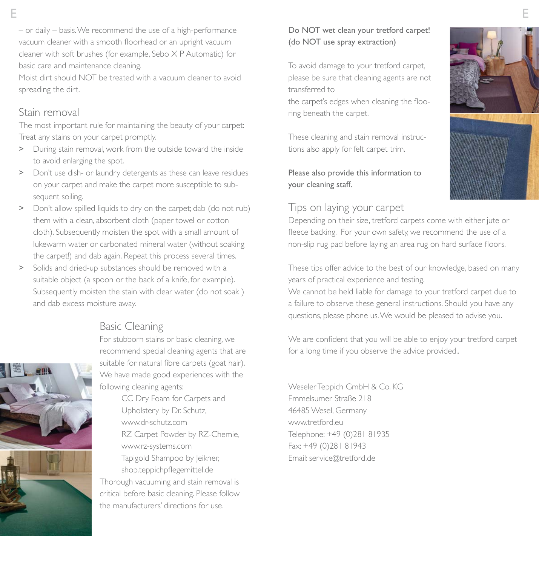– or daily – basis. We recommend the use of a high-performance vacuum cleaner with a smooth floorhead or an upright vacuum cleaner with soft brushes (for example, Sebo X P Automatic) for basic care and maintenance cleaning.

Moist dirt should NOT be treated with a vacuum cleaner to avoid spreading the dirt.

#### Stain removal

The most important rule for maintaining the beauty of your carpet: Treat any stains on your carpet promptly.

- > During stain removal, work from the outside toward the inside to avoid enlarging the spot.
- > Don't use dish- or laundry detergents as these can leave residues on your carpet and make the carpet more susceptible to subsequent soiling.
- > Don't allow spilled liquids to dry on the carpet; dab (do not rub) them with a clean, absorbent cloth (paper towel or cotton cloth). Subsequently moisten the spot with a small amount of lukewarm water or carbonated mineral water (without soaking the carpet!) and dab again. Repeat this process several times.
- > Solids and dried-up substances should be removed with a suitable object (a spoon or the back of a knife, for example). Subsequently moisten the stain with clear water (do not soak ) and dab excess moisture away.

# Basic Cleaning

For stubborn stains or basic cleaning, we recommend special cleaning agents that are suitable for natural fibre carpets (goat hair). We have made good experiences with the following cleaning agents:

CC Dry Foam for Carpets and Upholstery by Dr. Schutz, www.dr-schutz.com RZ Carpet Powder by RZ-Chemie, www.rz-systems.com Tapigold Shampoo by Jeikner, shop.teppichpflegemittel.de Thorough vacuuming and stain removal is critical before basic cleaning. Please follow the manufacturers' directions for use.

Do NOT wet clean your tretford carpet! (do NOT use spray extraction)

To avoid damage to your tretford carpet, please be sure that cleaning agents are not transferred to

the carpet's edges when cleaning the flooring beneath the carpet.

These cleaning and stain removal instructions also apply for felt carpet trim.

#### Please also provide this information to your cleaning staff.

#### Tips on laying your carpet

Depending on their size, tretford carpets come with either jute or fleece backing. For your own safety, we recommend the use of a non-slip rug pad before laying an area rug on hard surface floors.

These tips offer advice to the best of our knowledge, based on many years of practical experience and testing.

We cannot be held liable for damage to your tretford carpet due to a failure to observe these general instructions. Should you have any questions, please phone us. We would be pleased to advise you.

We are confident that you will be able to enjoy your tretford carpet for a long time if you observe the advice provided..

Weseler Teppich GmbH & Co. KG Emmelsumer Straße 218 46485 Wesel, Germany www.tretford.eu Telephone: +49 (0)281 81935 Fax: +49 (0)281 81943 Email: service@tretford.de



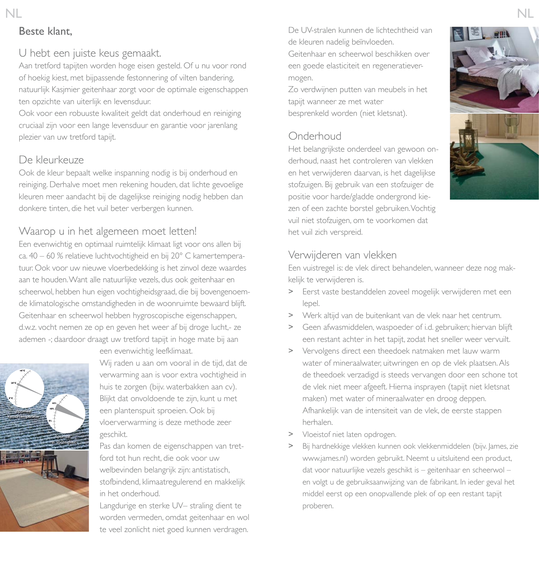# Beste klant,

#### U hebt een juiste keus gemaakt.

Aan tretford tapijten worden hoge eisen gesteld. Of u nu voor rond of hoekig kiest, met bijpassende festonnering of vilten bandering, natuurlijk Kasjmier geitenhaar zorgt voor de optimale eigenschappen ten opzichte van uiterlijk en levensduur.

Ook voor een robuuste kwaliteit geldt dat onderhoud en reiniging cruciaal zijn voor een lange levensduur en garantie voor jarenlang plezier van uw tretford tapijt.

#### De kleurkeuze

Ook de kleur bepaalt welke inspanning nodig is bij onderhoud en reiniging. Derhalve moet men rekening houden, dat lichte gevoelige kleuren meer aandacht bij de dagelijkse reiniging nodig hebben dan donkere tinten, die het vuil beter verbergen kunnen.

#### Waarop u in het algemeen moet letten!

Een evenwichtig en optimaal ruimtelijk klimaat ligt voor ons allen bij ca. 40 – 60 % relatieve luchtvochtigheid en bij 20° C kamertemperatuur. Ook voor uw nieuwe vloerbedekking is het zinvol deze waardes aan te houden. Want alle natuurlijke vezels, dus ook geitenhaar en scheerwol, hebben hun eigen vochtigheidsgraad, die bij bovengenoemde klimatologische omstandigheden in de woonruimte bewaard blijft. Geitenhaar en scheerwol hebben hygroscopische eigenschappen, d.w.z. vocht nemen ze op en geven het weer af bij droge lucht,- ze ademen -; daardoor draagt uw tretford tapijt in hoge mate bij aan een evenwichtig leefklimaat.



Wij raden u aan om vooral in de tijd, dat de verwarming aan is voor extra vochtigheid in huis te zorgen (bijv. waterbakken aan cv). Blijkt dat onvoldoende te zijn, kunt u met een plantenspuit sproeien. Ook bij vloerverwarming is deze methode zeer geschikt.

Pas dan komen de eigenschappen van tretford tot hun recht, die ook voor uw welbevinden belangrijk zijn: antistatisch, stofbindend, klimaatregulerend en makkelijk in het onderhoud.

Langdurige en sterke UV– straling dient te worden vermeden, omdat geitenhaar en wol te veel zonlicht niet goed kunnen verdragen.

De UV-stralen kunnen de lichtechtheid van de kleuren nadelig beïnvloeden.

Geitenhaar en scheerwol beschikken over een goede elasticiteit en regeneratievermogen.

Zo verdwijnen putten van meubels in het tapijt wanneer ze met water besprenkeld worden (niet kletsnat).

# Onderhoud

Het belangrijkste onderdeel van gewoon onderhoud, naast het controleren van vlekken en het verwijderen daarvan, is het dagelijkse stofzuigen. Bij gebruik van een stofzuiger de positie voor harde/gladde ondergrond kiezen of een zachte borstel gebruiken. Vochtig vuil niet stofzuigen, om te voorkomen dat het vuil zich verspreid.



#### Verwijderen van vlekken

Een vuistregel is: de vlek direct behandelen, wanneer deze nog makkelijk te verwijderen is.

- > Eerst vaste bestanddelen zoveel mogelijk verwijderen met een lepel.
- > Werk altijd van de buitenkant van de vlek naar het centrum.
- > Geen afwasmiddelen, waspoeder of i.d. gebruiken; hiervan blijft een restant achter in het tapijt, zodat het sneller weer vervuilt.
- > Vervolgens direct een theedoek natmaken met lauw warm water of mineraalwater, uitwringen en op de vlek plaatsen. Als de theedoek verzadigd is steeds vervangen door een schone tot de vlek niet meer afgeeft. Hierna insprayen (tapijt niet kletsnat maken) met water of mineraalwater en droog deppen. Afhankelijk van de intensiteit van de vlek, de eerste stappen herhalen.
- > Vloeistof niet laten opdrogen.
- > Bij hardnekkige vlekken kunnen ook vlekkenmiddelen (bijv. James, zie www.james.nl) worden gebruikt. Neemt u uitsluitend een product, dat voor natuurlijke vezels geschikt is – geitenhaar en scheerwol – en volgt u de gebruiksaanwijzing van de fabrikant. In ieder geval het middel eerst op een onopvallende plek of op een restant tapijt proberen.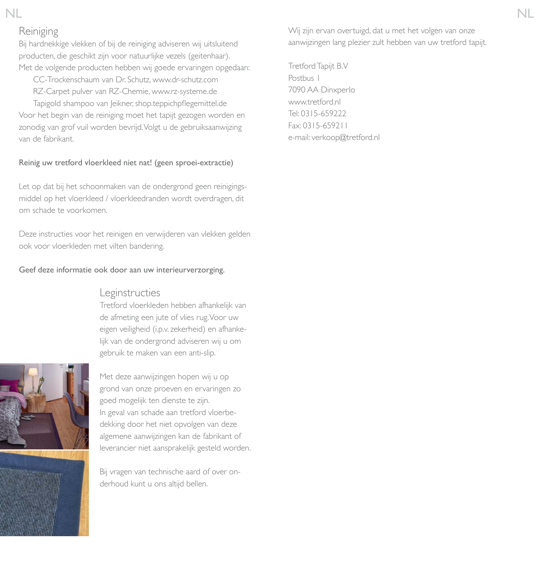#### Reiniging

Bij hardnekkige vlekken of bij de reiniging adviseren wij uitsluitend producten, die geschikt zijn voor natuurlijke vezels (geitenhaar). Met de volgende producten hebben wij goede ervaringen opgedaan:

CC-Trockenschaum van Dr. Schutz, www.dr-schutz.com RZ-Carpet pulver van RZ-Chemie, www.rz-systeme.de

Tapigold shampoo van Jeikner, shop.teppichpflegemittel.de Voor het begin van de reiniging moet het tapijt gezogen worden en zonodig van grof vuil worden bevrijd. Volgt u de gebruiksaanwijzing van de fabrikant.

#### Reinig uw tretford vloerkleed niet nat! (geen sproei-extractie)

Let op dat bij het schoonmaken van de ondergrond geen reinigingsmiddel op het vloerkleed / vloerkleedranden wordt overdragen, dit om schade te voorkomen.

Deze instructies voor het reinigen en verwijderen van vlekken gelden ook voor vloerkleden met vilten bandering.

#### Geef deze informatie ook door aan uw interieurverzorging.

#### Leginstructies

Tretford vloerkleden hebben afhankelijk van de afmeting een jute of vlies rug. Voor uw eigen veiligheid (i.p.v. zekerheid) en afhankelijk van de ondergrond adviseren wij u om gebruik te maken van een anti-slip.



Met deze aanwijzingen hopen wij u op grond van onze proeven en ervaringen zo goed mogelijk ten dienste te zijn. In geval van schade aan tretford vloerbedekking door het niet opvolgen van deze algemene aanwijzingen kan de fabrikant of leverancier niet aansprakelijk gesteld worden.

Bij vragen van technische aard of over onderhoud kunt u ons altijd bellen.

Wij zijn ervan overtuigd, dat u met het volgen van onze aanwijzingen lang plezier zult hebben van uw tretford tapijt.

Tretford Tapijt B.V Postbus 1 7090 AA Dinxperlo www.tretford.nl Tel: 0315-659222 Fax: 0315-659211 e-mail: verkoop@tretford.nl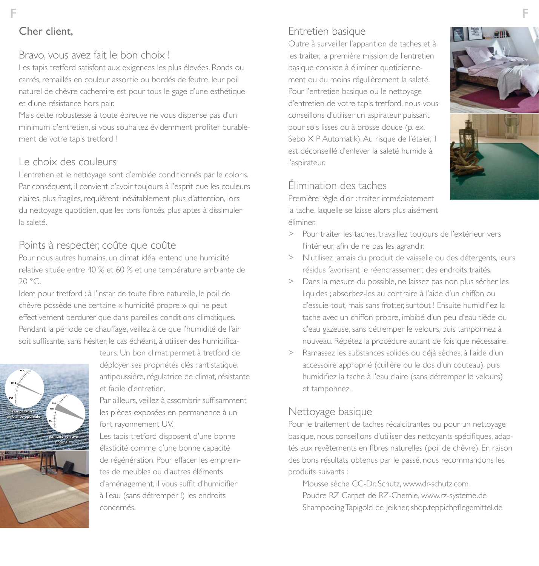# Bravo, vous avez fait le bon choix !

Les tapis tretford satisfont aux exigences les plus élevées. Ronds ou carrés, remaillés en couleur assortie ou bordés de feutre, leur poil naturel de chèvre cachemire est pour tous le gage d'une esthétique et d'une résistance hors pair.

Mais cette robustesse à toute épreuve ne vous dispense pas d'un minimum d'entretien, si vous souhaitez évidemment profiter durablement de votre tapis tretford !

# Le choix des couleurs

L'entretien et le nettoyage sont d'emblée conditionnés par le coloris. Par conséquent, il convient d'avoir toujours à l'esprit que les couleurs claires, plus fragiles, requièrent inévitablement plus d'attention, lors du nettoyage quotidien, que les tons foncés, plus aptes à dissimuler la saleté.

# Points à respecter, coûte que coûte

Pour nous autres humains, un climat idéal entend une humidité relative située entre 40 % et 60 % et une température ambiante de 20 °C.

Idem pour tretford : à l'instar de toute fibre naturelle, le poil de chèvre possède une certaine « humidité propre » qui ne peut effectivement perdurer que dans pareilles conditions climatiques. Pendant la période de chauffage, veillez à ce que l'humidité de l'air soit suffisante, sans hésiter, le cas échéant, à utiliser des humidifica-



teurs. Un bon climat permet à tretford de déployer ses propriétés clés : antistatique, antipoussière, régulatrice de climat, résistante et facile d'entretien.

Par ailleurs, veillez à assombrir suffisamment les pièces exposées en permanence à un fort rayonnement UV.

Les tapis tretford disposent d'une bonne élasticité comme d'une bonne capacité de régénération. Pour effacer les empreintes de meubles ou d'autres éléments d'aménagement, il vous suffit d'humidifier à l'eau (sans détremper !) les endroits concernés.

# Entretien basique

Outre à surveiller l'apparition de taches et à les traiter, la première mission de l'entretien basique consiste à éliminer quotidiennement ou du moins régulièrement la saleté. Pour l'entretien basique ou le nettoyage d'entretien de votre tapis tretford, nous vous conseillons d'utiliser un aspirateur puissant pour sols lisses ou à brosse douce (p. ex. Sebo X P Automatik). Au risque de l'étaler, il est déconseillé d'enlever la saleté humide à l'aspirateur.

#### Élimination des taches

Première règle d'or : traiter immédiatement la tache, laquelle se laisse alors plus aisément éliminer.



- > Pour traiter les taches, travaillez toujours de l'extérieur vers l'intérieur, afin de ne pas les agrandir.
- > N'utilisez jamais du produit de vaisselle ou des détergents, leurs résidus favorisant le réencrassement des endroits traités.
- > Dans la mesure du possible, ne laissez pas non plus sécher les liquides ; absorbez-les au contraire à l'aide d'un chiffon ou d'essuie-tout, mais sans frotter, surtout ! Ensuite humidifiez la tache avec un chiffon propre, imbibé d'un peu d'eau tiède ou d'eau gazeuse, sans détremper le velours, puis tamponnez à nouveau. Répétez la procédure autant de fois que nécessaire.
- > Ramassez les substances solides ou déjà sèches, à l'aide d'un accessoire approprié (cuillère ou le dos d'un couteau), puis humidifiez la tache à l'eau claire (sans détremper le velours) et tamponnez.

#### Nettoyage basique

Pour le traitement de taches récalcitrantes ou pour un nettoyage basique, nous conseillons d'utiliser des nettoyants spécifiques, adaptés aux revêtements en fibres naturelles (poil de chèvre). En raison des bons résultats obtenus par le passé, nous recommandons les produits suivants :

Mousse sèche CC-Dr. Schutz, www.dr-schutz.com Poudre RZ Carpet de RZ-Chemie, www.rz-systeme.de Shampooing Tapigold de Jeikner, shop.teppichpflegemittel.de